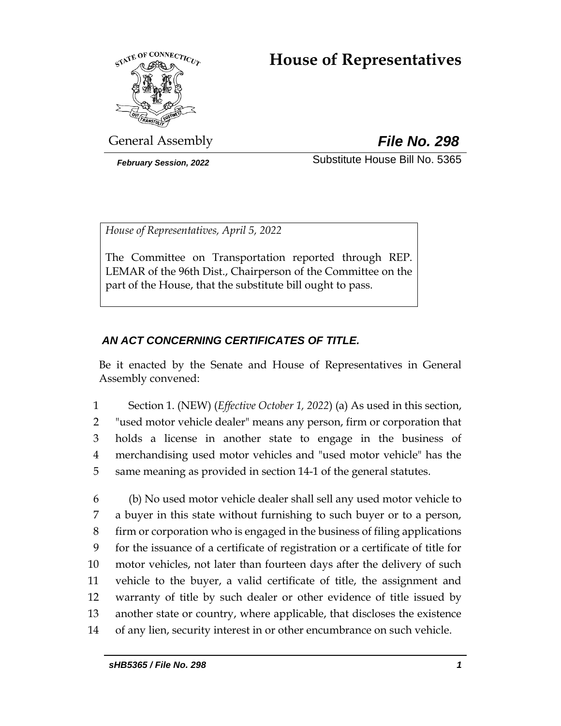# **House of Representatives**



General Assembly *File No. 298*

*February Session, 2022* Substitute House Bill No. 5365

*House of Representatives, April 5, 2022*

The Committee on Transportation reported through REP. LEMAR of the 96th Dist., Chairperson of the Committee on the part of the House, that the substitute bill ought to pass.

## *AN ACT CONCERNING CERTIFICATES OF TITLE.*

Be it enacted by the Senate and House of Representatives in General Assembly convened:

 Section 1. (NEW) (*Effective October 1, 2022*) (a) As used in this section, "used motor vehicle dealer" means any person, firm or corporation that holds a license in another state to engage in the business of merchandising used motor vehicles and "used motor vehicle" has the same meaning as provided in section 14-1 of the general statutes.

 (b) No used motor vehicle dealer shall sell any used motor vehicle to a buyer in this state without furnishing to such buyer or to a person, firm or corporation who is engaged in the business of filing applications for the issuance of a certificate of registration or a certificate of title for motor vehicles, not later than fourteen days after the delivery of such vehicle to the buyer, a valid certificate of title, the assignment and warranty of title by such dealer or other evidence of title issued by another state or country, where applicable, that discloses the existence of any lien, security interest in or other encumbrance on such vehicle.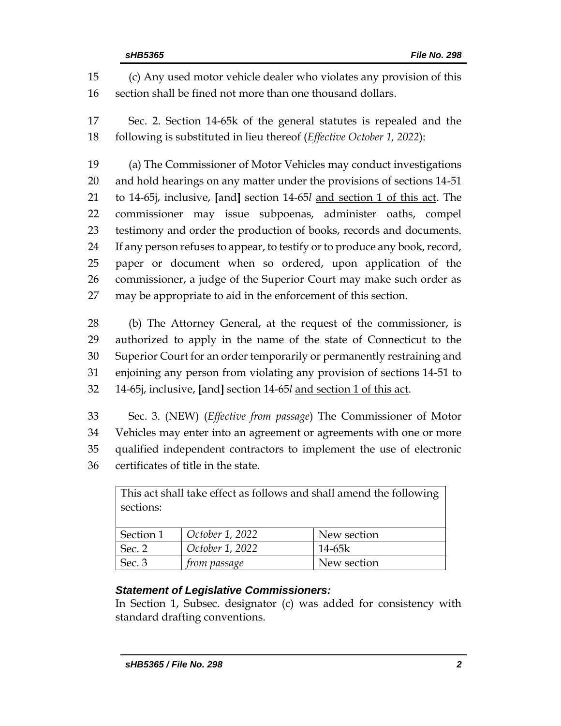(c) Any used motor vehicle dealer who violates any provision of this section shall be fined not more than one thousand dollars.

 Sec. 2. Section 14-65k of the general statutes is repealed and the following is substituted in lieu thereof (*Effective October 1, 2022*):

 (a) The Commissioner of Motor Vehicles may conduct investigations and hold hearings on any matter under the provisions of sections 14-51 to 14-65j, inclusive, **[**and**]** section 14-65*l* and section 1 of this act. The commissioner may issue subpoenas, administer oaths, compel testimony and order the production of books, records and documents. If any person refuses to appear, to testify or to produce any book, record, paper or document when so ordered, upon application of the commissioner, a judge of the Superior Court may make such order as may be appropriate to aid in the enforcement of this section.

 (b) The Attorney General, at the request of the commissioner, is authorized to apply in the name of the state of Connecticut to the Superior Court for an order temporarily or permanently restraining and enjoining any person from violating any provision of sections 14-51 to 14-65j, inclusive, **[**and**]** section 14-65*l* and section 1 of this act.

 Sec. 3. (NEW) (*Effective from passage*) The Commissioner of Motor Vehicles may enter into an agreement or agreements with one or more qualified independent contractors to implement the use of electronic certificates of title in the state.

| This act shall take effect as follows and shall amend the following |                     |             |  |  |
|---------------------------------------------------------------------|---------------------|-------------|--|--|
| sections:                                                           |                     |             |  |  |
|                                                                     |                     |             |  |  |
| Section 1                                                           | October 1, 2022     | New section |  |  |
| Sec. 2                                                              | October 1, 2022     | $14-65k$    |  |  |
| Sec. 3                                                              | <i>from passage</i> | New section |  |  |

## *Statement of Legislative Commissioners:*

In Section 1, Subsec. designator (c) was added for consistency with standard drafting conventions.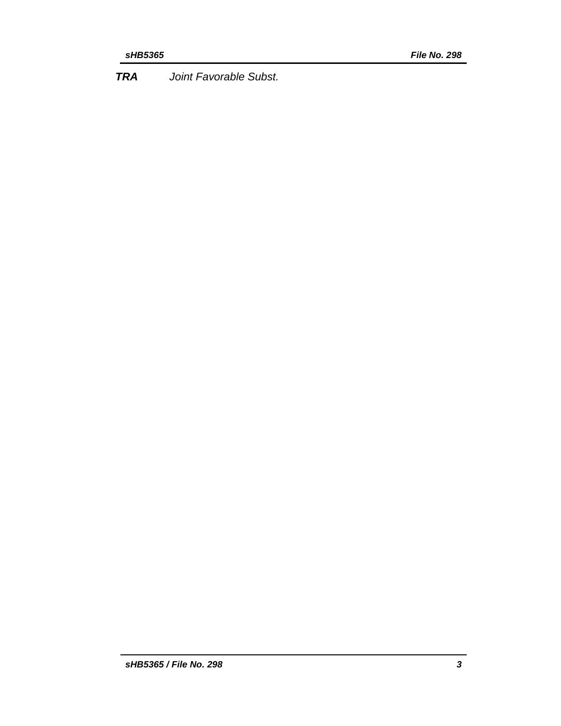*TRA Joint Favorable Subst.*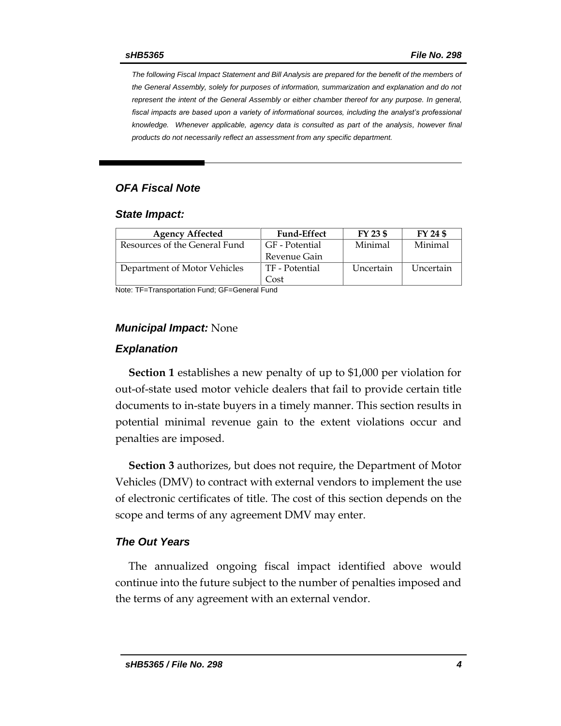*The following Fiscal Impact Statement and Bill Analysis are prepared for the benefit of the members of the General Assembly, solely for purposes of information, summarization and explanation and do not represent the intent of the General Assembly or either chamber thereof for any purpose. In general,*  fiscal impacts are based upon a variety of informational sources, including the analyst's professional *knowledge. Whenever applicable, agency data is consulted as part of the analysis, however final products do not necessarily reflect an assessment from any specific department.*

## *OFA Fiscal Note*

#### *State Impact:*

| <b>Agency Affected</b>        | <b>Fund-Effect</b> | FY 23 \$  | FY 24 \$  |
|-------------------------------|--------------------|-----------|-----------|
| Resources of the General Fund | GF - Potential     | Minimal   | Minimal   |
|                               | Revenue Gain       |           |           |
| Department of Motor Vehicles  | TF - Potential     | Uncertain | Uncertain |
|                               | Cost               |           |           |

Note: TF=Transportation Fund; GF=General Fund

### *Municipal Impact:* None

#### *Explanation*

**Section 1** establishes a new penalty of up to \$1,000 per violation for out-of-state used motor vehicle dealers that fail to provide certain title documents to in-state buyers in a timely manner. This section results in potential minimal revenue gain to the extent violations occur and penalties are imposed.

**Section 3** authorizes, but does not require, the Department of Motor Vehicles (DMV) to contract with external vendors to implement the use of electronic certificates of title. The cost of this section depends on the scope and terms of any agreement DMV may enter.

### *The Out Years*

The annualized ongoing fiscal impact identified above would continue into the future subject to the number of penalties imposed and the terms of any agreement with an external vendor.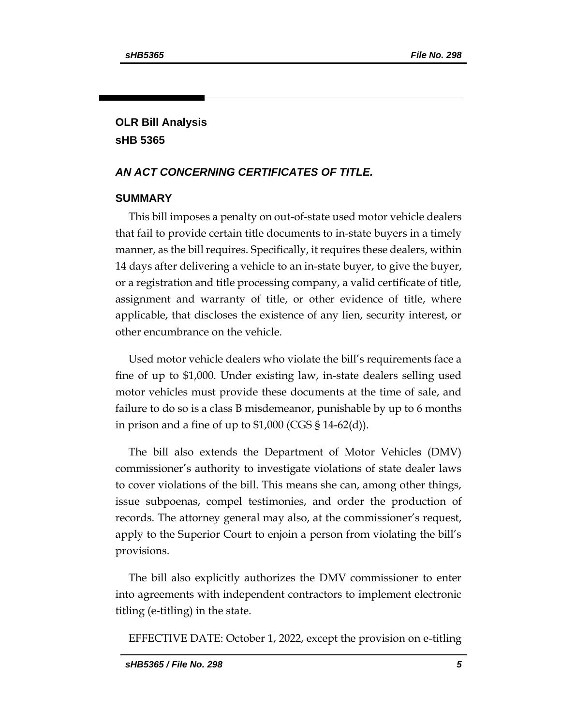## **OLR Bill Analysis sHB 5365**

## *AN ACT CONCERNING CERTIFICATES OF TITLE.*

## **SUMMARY**

This bill imposes a penalty on out-of-state used motor vehicle dealers that fail to provide certain title documents to in-state buyers in a timely manner, as the bill requires. Specifically, it requires these dealers, within 14 days after delivering a vehicle to an in-state buyer, to give the buyer, or a registration and title processing company, a valid certificate of title, assignment and warranty of title, or other evidence of title, where applicable, that discloses the existence of any lien, security interest, or other encumbrance on the vehicle.

Used motor vehicle dealers who violate the bill's requirements face a fine of up to \$1,000. Under existing law, in-state dealers selling used motor vehicles must provide these documents at the time of sale, and failure to do so is a class B misdemeanor, punishable by up to 6 months in prison and a fine of up to  $$1,000$  (CGS  $$14-62(d)$ ).

The bill also extends the Department of Motor Vehicles (DMV) commissioner's authority to investigate violations of state dealer laws to cover violations of the bill. This means she can, among other things, issue subpoenas, compel testimonies, and order the production of records. The attorney general may also, at the commissioner's request, apply to the Superior Court to enjoin a person from violating the bill's provisions.

The bill also explicitly authorizes the DMV commissioner to enter into agreements with independent contractors to implement electronic titling (e-titling) in the state.

EFFECTIVE DATE: October 1, 2022, except the provision on e-titling